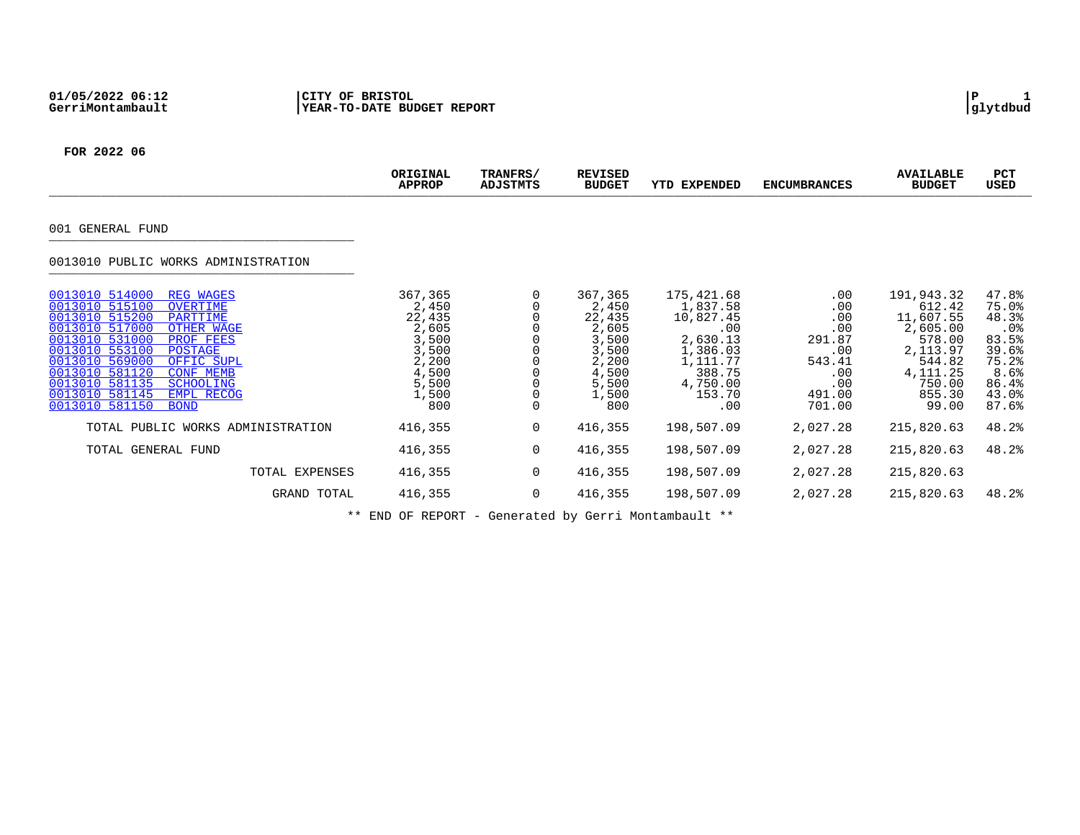|                                                                                                                                                                                                                                                                                                                                                                                       | ORIGINAL<br><b>APPROP</b>                                                                        | TRANFRS/<br>ADJSTMTS | <b>REVISED</b><br><b>BUDGET</b>                                                                      | <b>EXPENDED</b><br>YTD                                                                                                | <b>ENCUMBRANCES</b>                                                                        | <b>AVAILABLE</b><br><b>BUDGET</b>                                                                                        | PCT<br><b>USED</b>                                                                           |
|---------------------------------------------------------------------------------------------------------------------------------------------------------------------------------------------------------------------------------------------------------------------------------------------------------------------------------------------------------------------------------------|--------------------------------------------------------------------------------------------------|----------------------|------------------------------------------------------------------------------------------------------|-----------------------------------------------------------------------------------------------------------------------|--------------------------------------------------------------------------------------------|--------------------------------------------------------------------------------------------------------------------------|----------------------------------------------------------------------------------------------|
| 001 GENERAL FUND                                                                                                                                                                                                                                                                                                                                                                      |                                                                                                  |                      |                                                                                                      |                                                                                                                       |                                                                                            |                                                                                                                          |                                                                                              |
| 0013010 PUBLIC WORKS ADMINISTRATION                                                                                                                                                                                                                                                                                                                                                   |                                                                                                  |                      |                                                                                                      |                                                                                                                       |                                                                                            |                                                                                                                          |                                                                                              |
| 0013010 514000<br><b>REG WAGES</b><br>0013010 515100<br>OVERTIME<br>0013010 515200<br>PARTTIME<br>0013010 517000<br>OTHER WAGE<br>0013010 531000<br>PROF FEES<br>0013010 553100<br><b>POSTAGE</b><br>0013010 569000<br>OFFIC SUPL<br>0013010 581120<br><b>CONF MEMB</b><br>0013010 581135<br><b>SCHOOLING</b><br>0013010 581145<br><b>EMPL RECOG</b><br>0013010 581150<br><b>BOND</b> | 367,365<br>2,450<br>22,435<br>2,605<br>3,500<br>3,500<br>2,200<br>4,500<br>5,500<br>1,500<br>800 | 0<br>$\mathbf 0$     | 367,365<br>2,450<br>22,435<br>2,605<br>$3,500$<br>$3,500$<br>2,200<br>4,500<br>5,500<br>1,500<br>800 | 175,421.68<br>1,837.58<br>10,827.45<br>.00<br>2,630.13<br>1,386.03<br>1,111.77<br>388.75<br>4,750.00<br>153.70<br>.00 | $.00 \,$<br>.00<br>.00<br>.00<br>291.87<br>.00<br>543.41<br>.00<br>.00<br>491.00<br>701.00 | 191,943.32<br>612.42<br>11,607.55<br>2,605.00<br>578.00<br>2,113.97<br>544.82<br>4, 111. 25<br>750.00<br>855.30<br>99.00 | 47.8%<br>75.0%<br>48.3%<br>.0%<br>83.5%<br>39.6%<br>75.2%<br>8.6%<br>86.4%<br>43.0%<br>87.6% |
| TOTAL PUBLIC WORKS ADMINISTRATION                                                                                                                                                                                                                                                                                                                                                     | 416,355                                                                                          | 0                    | 416,355                                                                                              | 198,507.09                                                                                                            | 2,027.28                                                                                   | 215,820.63                                                                                                               | 48.2%                                                                                        |
| TOTAL GENERAL FUND                                                                                                                                                                                                                                                                                                                                                                    | 416,355                                                                                          | 0                    | 416,355                                                                                              | 198,507.09                                                                                                            | 2,027.28                                                                                   | 215,820.63                                                                                                               | 48.2%                                                                                        |
| TOTAL EXPENSES                                                                                                                                                                                                                                                                                                                                                                        | 416,355                                                                                          | 0                    | 416,355                                                                                              | 198,507.09                                                                                                            | 2,027.28                                                                                   | 215,820.63                                                                                                               |                                                                                              |
| GRAND TOTAL                                                                                                                                                                                                                                                                                                                                                                           | 416,355                                                                                          | $\mathbf 0$          | 416,355                                                                                              | 198,507.09                                                                                                            | 2,027.28                                                                                   | 215,820.63                                                                                                               | 48.2%                                                                                        |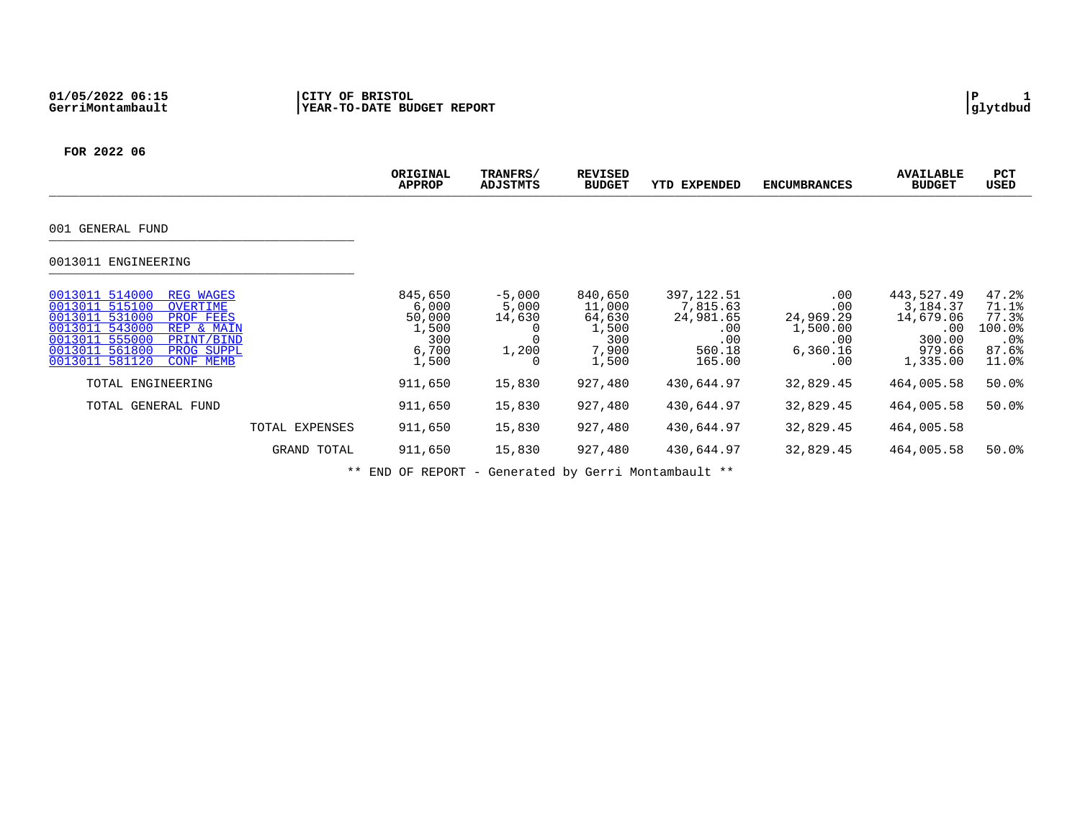|                                                                                                                                                                                                                                       | ORIGINAL<br><b>APPROP</b>                                    | TRANFRS/<br>ADJSTMTS                      | <b>REVISED</b><br><b>BUDGET</b>                               | <b>EXPENDED</b><br>YTD                                                 | <b>ENCUMBRANCES</b>                                           | <b>AVAILABLE</b><br><b>BUDGET</b>                                          | PCT<br>USED                                                   |
|---------------------------------------------------------------------------------------------------------------------------------------------------------------------------------------------------------------------------------------|--------------------------------------------------------------|-------------------------------------------|---------------------------------------------------------------|------------------------------------------------------------------------|---------------------------------------------------------------|----------------------------------------------------------------------------|---------------------------------------------------------------|
| 001 GENERAL FUND                                                                                                                                                                                                                      |                                                              |                                           |                                                               |                                                                        |                                                               |                                                                            |                                                               |
| 0013011 ENGINEERING                                                                                                                                                                                                                   |                                                              |                                           |                                                               |                                                                        |                                                               |                                                                            |                                                               |
| 0013011 514000<br><b>REG WAGES</b><br>0013011 515100<br>OVERTIME<br>0013011 531000<br>PROF FEES<br>0013011 543000<br>REP & MAIN<br>0013011 555000<br>PRINT/BIND<br>0013011 561800<br>PROG SUPPL<br>0013011 581120<br><b>CONF MEMB</b> | 845,650<br>6,000<br>50,000<br>1,500<br>300<br>6,700<br>1,500 | $-5,000$<br>5,000<br>14,630<br>1,200<br>0 | 840,650<br>11,000<br>64,630<br>1,500<br>300<br>7,900<br>1,500 | 397, 122.51<br>7,815.63<br>24,981.65<br>.00<br>.00<br>560.18<br>165.00 | .00<br>.00<br>24,969.29<br>1,500.00<br>.00<br>6,360.16<br>.00 | 443,527.49<br>3,184.37<br>14,679.06<br>.00<br>300.00<br>979.66<br>1,335.00 | 47.2%<br>71.1%<br>77.3%<br>100.0%<br>$.0\%$<br>87.6%<br>11.0% |
| TOTAL ENGINEERING                                                                                                                                                                                                                     | 911,650                                                      | 15,830                                    | 927,480                                                       | 430,644.97                                                             | 32,829.45                                                     | 464,005.58                                                                 | 50.0%                                                         |
| TOTAL GENERAL FUND                                                                                                                                                                                                                    | 911,650                                                      | 15,830                                    | 927,480                                                       | 430,644.97                                                             | 32,829.45                                                     | 464,005.58                                                                 | $50.0$ $^{\circ}$                                             |
| TOTAL EXPENSES                                                                                                                                                                                                                        | 911,650                                                      | 15,830                                    | 927,480                                                       | 430,644.97                                                             | 32,829.45                                                     | 464,005.58                                                                 |                                                               |
| GRAND TOTAL                                                                                                                                                                                                                           | 911,650                                                      | 15,830                                    | 927,480                                                       | 430,644.97                                                             | 32,829.45                                                     | 464,005.58                                                                 | $50.0$ $^{\circ}$                                             |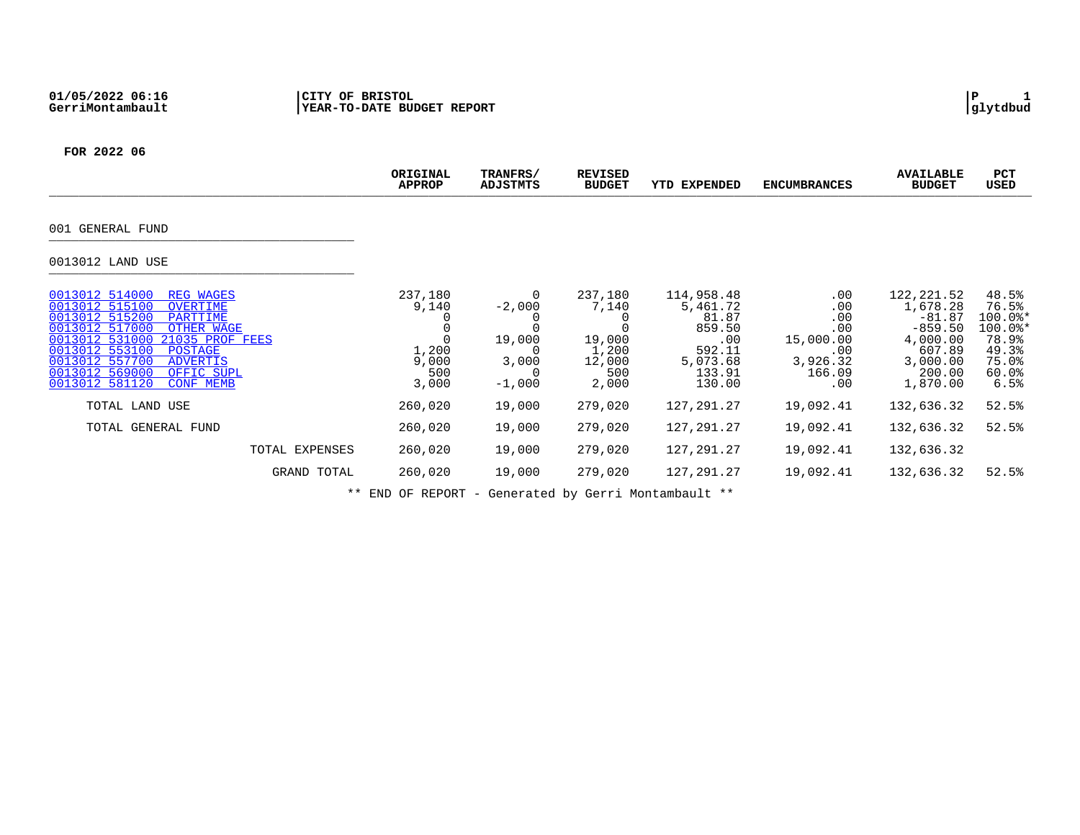| ORIGINAL<br><b>APPROP</b>                          | TRANFRS/<br>ADJSTMTS                                       | <b>REVISED</b><br><b>BUDGET</b>                               | YTD EXPENDED                                                                               | <b>ENCUMBRANCES</b>                                                            | <b>AVAILABLE</b><br><b>BUDGET</b>                                                                        | PCT<br>USED                                                                          |
|----------------------------------------------------|------------------------------------------------------------|---------------------------------------------------------------|--------------------------------------------------------------------------------------------|--------------------------------------------------------------------------------|----------------------------------------------------------------------------------------------------------|--------------------------------------------------------------------------------------|
|                                                    |                                                            |                                                               |                                                                                            |                                                                                |                                                                                                          |                                                                                      |
|                                                    |                                                            |                                                               |                                                                                            |                                                                                |                                                                                                          |                                                                                      |
| 237,180<br>9,140<br>1,200<br>9,000<br>500<br>3,000 | 0<br>$-2,000$<br>19,000<br>3,000<br>$\left($ )<br>$-1,000$ | 237,180<br>7,140<br>19,000<br>1,200<br>12,000<br>500<br>2,000 | 114,958.48<br>5,461.72<br>81.87<br>859.50<br>.00<br>592.11<br>5,073.68<br>133.91<br>130.00 | $.00 \,$<br>.00<br>.00<br>.00<br>15,000.00<br>.00<br>3,926.32<br>166.09<br>.00 | 122, 221.52<br>1,678.28<br>$-81.87$<br>$-859.50$<br>4,000.00<br>607.89<br>3,000.00<br>200.00<br>1,870.00 | 48.5%<br>76.5%<br>$100.0$ *<br>$100.0$ *<br>78.9%<br>49.3%<br>75.0%<br>60.0%<br>6.5% |
| 260,020                                            | 19,000                                                     | 279,020                                                       | 127, 291. 27                                                                               | 19,092.41                                                                      | 132,636.32                                                                                               | 52.5%                                                                                |
| 260,020                                            | 19,000                                                     | 279,020                                                       | 127,291.27                                                                                 | 19,092.41                                                                      | 132,636.32                                                                                               | 52.5%                                                                                |
| 260,020                                            | 19,000                                                     | 279,020                                                       | 127, 291. 27                                                                               | 19,092.41                                                                      | 132,636.32                                                                                               |                                                                                      |
| 260,020                                            | 19,000                                                     | 279,020                                                       | 127,291.27                                                                                 | 19,092.41                                                                      | 132,636.32                                                                                               | 52.5%                                                                                |
|                                                    |                                                            |                                                               |                                                                                            |                                                                                |                                                                                                          |                                                                                      |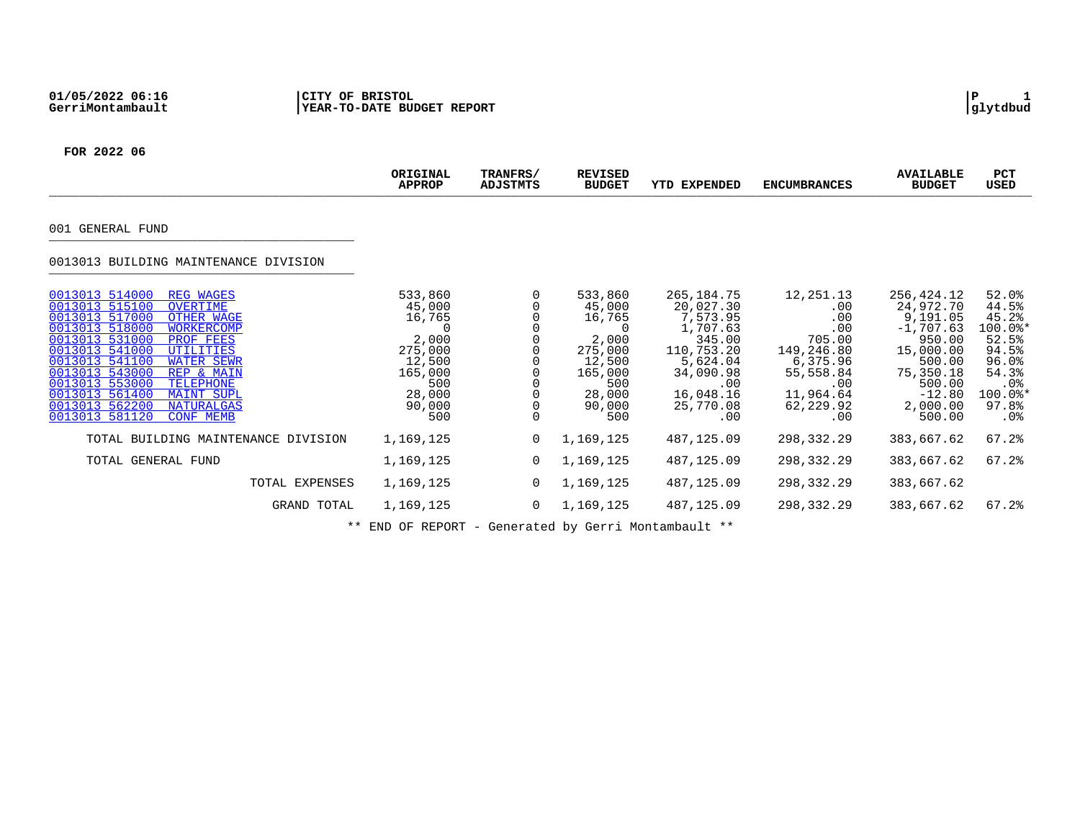|                                                                                                                                                                                                                                                                                                                                                                                                                                 | ORIGINAL<br><b>APPROP</b>                                                                                          | TRANFRS/<br><b>ADJSTMTS</b> | <b>REVISED</b><br><b>BUDGET</b>                                                                                    | <b>YTD EXPENDED</b>                                                                                                                        | <b>ENCUMBRANCES</b>                                                                                                               | <b>AVAILABLE</b><br><b>BUDGET</b>                                                                                                            | <b>PCT</b><br><b>USED</b>                                                                                   |
|---------------------------------------------------------------------------------------------------------------------------------------------------------------------------------------------------------------------------------------------------------------------------------------------------------------------------------------------------------------------------------------------------------------------------------|--------------------------------------------------------------------------------------------------------------------|-----------------------------|--------------------------------------------------------------------------------------------------------------------|--------------------------------------------------------------------------------------------------------------------------------------------|-----------------------------------------------------------------------------------------------------------------------------------|----------------------------------------------------------------------------------------------------------------------------------------------|-------------------------------------------------------------------------------------------------------------|
| 001 GENERAL FUND                                                                                                                                                                                                                                                                                                                                                                                                                |                                                                                                                    |                             |                                                                                                                    |                                                                                                                                            |                                                                                                                                   |                                                                                                                                              |                                                                                                             |
| 0013013 BUILDING MAINTENANCE DIVISION                                                                                                                                                                                                                                                                                                                                                                                           |                                                                                                                    |                             |                                                                                                                    |                                                                                                                                            |                                                                                                                                   |                                                                                                                                              |                                                                                                             |
| 0013013 514000<br><b>REG WAGES</b><br>0013013 515100<br>OVERTIME<br>0013013 517000<br>OTHER WAGE<br>0013013 518000<br><b>WORKERCOMP</b><br>0013013 531000<br>PROF FEES<br>0013013 541000<br>UTILITIES<br>0013013 541100<br><b>WATER SEWR</b><br>0013013 543000<br>REP & MAIN<br>0013013 553000<br><b>TELEPHONE</b><br>0013013 561400<br><b>MAINT SUPL</b><br>0013013 562200<br>NATURALGAS<br>0013013 581120<br><b>CONF MEMB</b> | 533,860<br>45,000<br>16,765<br>$\Omega$<br>2,000<br>275,000<br>12,500<br>165,000<br>500<br>28,000<br>90,000<br>500 | $\Omega$                    | 533,860<br>45,000<br>16,765<br>$\Omega$<br>2,000<br>275,000<br>12,500<br>165,000<br>500<br>28,000<br>90,000<br>500 | 265, 184. 75<br>20,027.30<br>7,573.95<br>1,707.63<br>345.00<br>110,753.20<br>5,624.04<br>34,090.98<br>.00<br>16,048.16<br>25,770.08<br>.00 | 12,251.13<br>$.00 \,$<br>.00<br>.00<br>705.00<br>149,246.80<br>6,375.96<br>55,558.84<br>$.00 \,$<br>11,964.64<br>62,229.92<br>.00 | 256,424.12<br>24,972.70<br>9,191.05<br>$-1,707.63$<br>950.00<br>15,000.00<br>500.00<br>75,350.18<br>500.00<br>$-12.80$<br>2,000.00<br>500.00 | 52.0%<br>44.5%<br>45.2%<br>100.0%*<br>52.5%<br>94.5%<br>96.0%<br>54.3%<br>.0%<br>100.0%*<br>97.8%<br>$.0\%$ |
| TOTAL BUILDING MAINTENANCE DIVISION                                                                                                                                                                                                                                                                                                                                                                                             | 1,169,125                                                                                                          | 0                           | 1,169,125                                                                                                          | 487,125.09                                                                                                                                 | 298,332.29                                                                                                                        | 383,667.62                                                                                                                                   | 67.2%                                                                                                       |
| TOTAL GENERAL FUND                                                                                                                                                                                                                                                                                                                                                                                                              | 1,169,125                                                                                                          | 0                           | 1,169,125                                                                                                          | 487,125.09                                                                                                                                 | 298,332.29                                                                                                                        | 383,667.62                                                                                                                                   | $67.2$ $%$                                                                                                  |
| TOTAL EXPENSES                                                                                                                                                                                                                                                                                                                                                                                                                  | 1,169,125                                                                                                          | 0                           | 1,169,125                                                                                                          | 487,125.09                                                                                                                                 | 298,332.29                                                                                                                        | 383,667.62                                                                                                                                   |                                                                                                             |
| GRAND TOTAL                                                                                                                                                                                                                                                                                                                                                                                                                     | 1,169,125                                                                                                          | 0                           | 1,169,125                                                                                                          | 487,125.09                                                                                                                                 | 298,332.29                                                                                                                        | 383,667.62                                                                                                                                   | 67.2%                                                                                                       |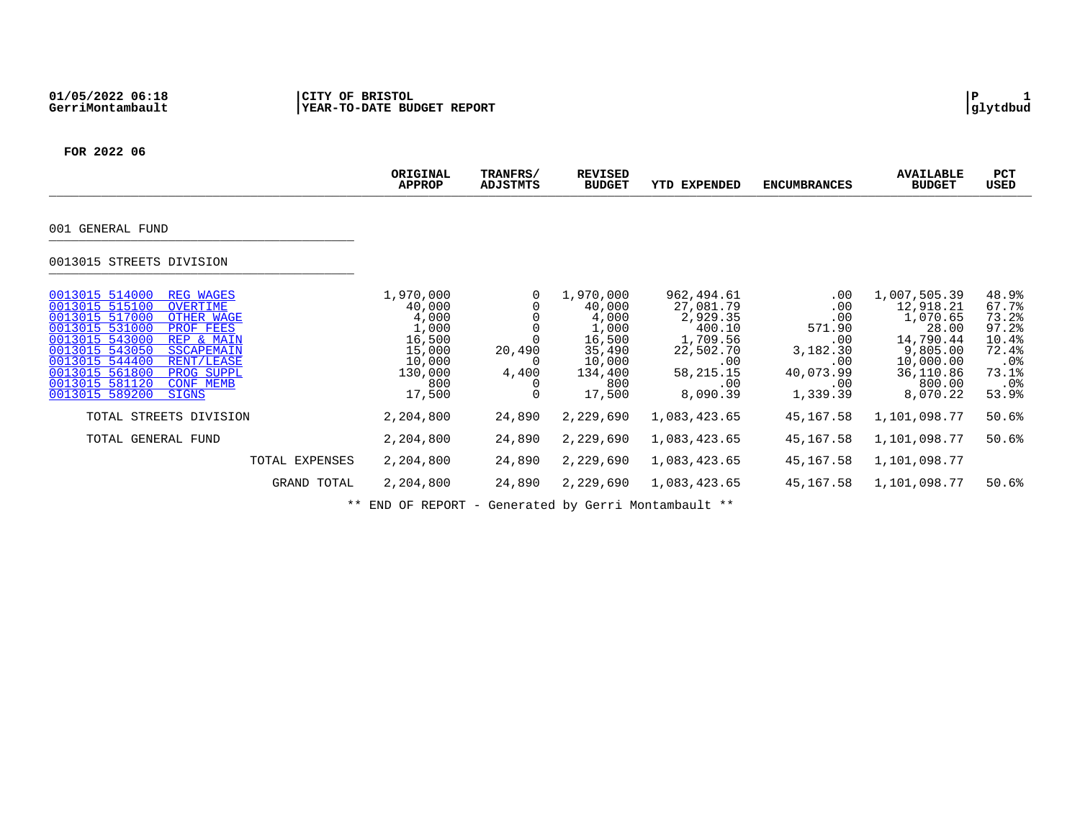|                                                                                                                                                                                                                                                                                                                                                | ORIGINAL<br><b>APPROP</b>                                                                       | TRANFRS/<br>ADJSTMTS                  | <b>REVISED</b><br><b>BUDGET</b>                                                                 | YTD EXPENDED                                                                                                    | <b>ENCUMBRANCES</b>                                                                   | <b>AVAILABLE</b><br><b>BUDGET</b>                                                                                       | PCT<br>USED                                                                          |
|------------------------------------------------------------------------------------------------------------------------------------------------------------------------------------------------------------------------------------------------------------------------------------------------------------------------------------------------|-------------------------------------------------------------------------------------------------|---------------------------------------|-------------------------------------------------------------------------------------------------|-----------------------------------------------------------------------------------------------------------------|---------------------------------------------------------------------------------------|-------------------------------------------------------------------------------------------------------------------------|--------------------------------------------------------------------------------------|
| 001 GENERAL FUND                                                                                                                                                                                                                                                                                                                               |                                                                                                 |                                       |                                                                                                 |                                                                                                                 |                                                                                       |                                                                                                                         |                                                                                      |
| 0013015 STREETS DIVISION                                                                                                                                                                                                                                                                                                                       |                                                                                                 |                                       |                                                                                                 |                                                                                                                 |                                                                                       |                                                                                                                         |                                                                                      |
| 0013015 514000<br><b>REG WAGES</b><br>0013015 515100<br><b>OVERTIME</b><br>0013015 517000<br>OTHER WAGE<br>0013015 531000<br>PROF FEES<br>0013015 543000<br>REP & MAIN<br>0013015 543050<br><b>SSCAPEMAIN</b><br>0013015 544400<br>RENT/LEASE<br>0013015 561800<br>PROG SUPPL<br>0013015 581120<br><b>CONF MEMB</b><br>0013015 589200<br>SIGNS | 1,970,000<br>40,000<br>4,000<br>1,000<br>16,500<br>15,000<br>10,000<br>130,000<br>800<br>17,500 | 0<br>20,490<br>0<br>4,400<br>$\Omega$ | 1,970,000<br>40,000<br>4,000<br>1,000<br>16,500<br>35,490<br>10,000<br>134,400<br>800<br>17,500 | 962,494.61<br>27,081.79<br>2,929.35<br>400.10<br>1,709.56<br>22,502.70<br>.00<br>58, 215. 15<br>.00<br>8,090.39 | .00<br>.00<br>.00<br>571.90<br>.00<br>3,182.30<br>.00<br>40,073.99<br>.00<br>1,339.39 | 1,007,505.39<br>12,918.21<br>1,070.65<br>28.00<br>14,790.44<br>9,805.00<br>10,000.00<br>36,110.86<br>800.00<br>8,070.22 | 48.9%<br>67.7%<br>73.2%<br>97.2<br>10.4%<br>72.4%<br>.0%<br>73.1%<br>$.0\%$<br>53.9% |
| TOTAL STREETS DIVISION                                                                                                                                                                                                                                                                                                                         | 2,204,800                                                                                       | 24,890                                | 2,229,690                                                                                       | 1,083,423.65                                                                                                    | 45,167.58                                                                             | 1,101,098.77                                                                                                            | 50.6%                                                                                |
| TOTAL GENERAL FUND                                                                                                                                                                                                                                                                                                                             | 2,204,800                                                                                       | 24,890                                | 2,229,690                                                                                       | 1,083,423.65                                                                                                    | 45,167.58                                                                             | 1,101,098.77                                                                                                            | 50.6%                                                                                |
| TOTAL EXPENSES                                                                                                                                                                                                                                                                                                                                 | 2,204,800                                                                                       | 24,890                                | 2,229,690                                                                                       | 1,083,423.65                                                                                                    | 45,167.58                                                                             | 1,101,098.77                                                                                                            |                                                                                      |
| GRAND TOTAL                                                                                                                                                                                                                                                                                                                                    | 2,204,800                                                                                       | 24,890                                | 2,229,690                                                                                       | 1,083,423.65                                                                                                    | 45,167.58                                                                             | 1,101,098.77                                                                                                            | 50.6%                                                                                |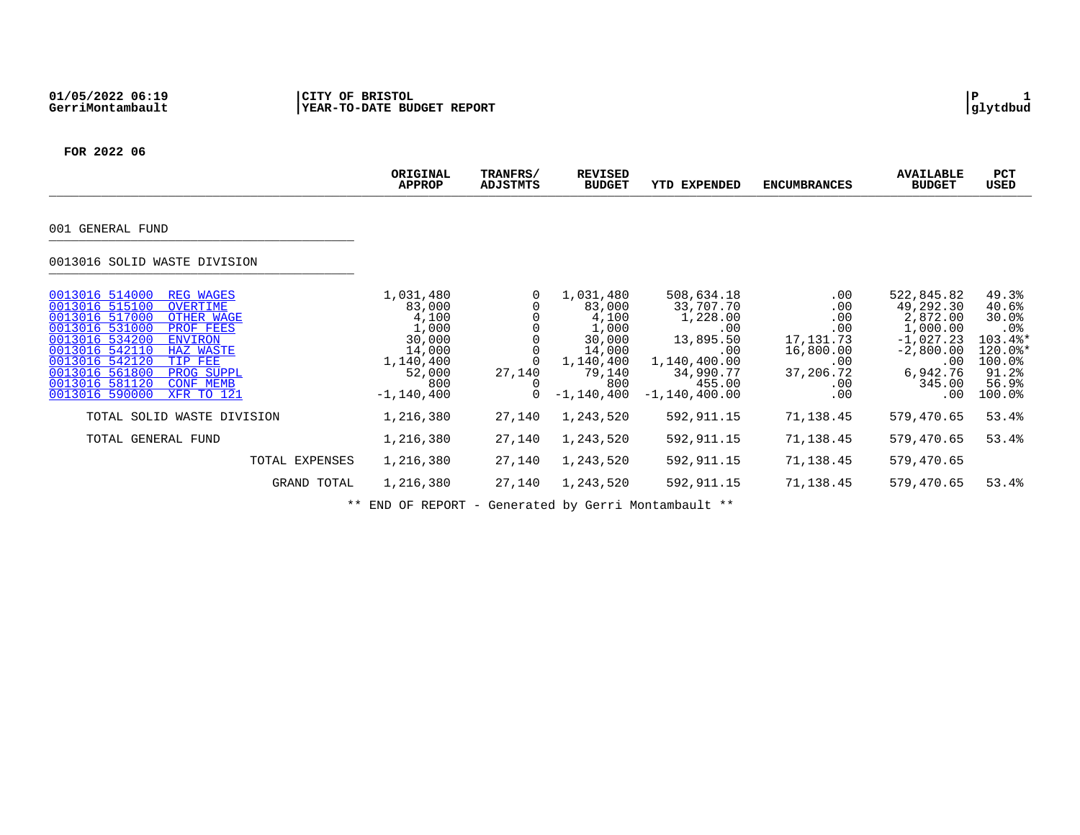|                                                                                                                                                                                                                                                                                                                                              | ORIGINAL<br><b>APPROP</b>                                                                                 | TRANFRS/<br>ADJSTMTS           | <b>REVISED</b><br><b>BUDGET</b>                                                                           | <b>EXPENDED</b><br>YTD                                                                                                   | <b>ENCUMBRANCES</b>                                                                    | <b>AVAILABLE</b><br><b>BUDGET</b>                                                                                 | PCT<br>USED                                                                                     |
|----------------------------------------------------------------------------------------------------------------------------------------------------------------------------------------------------------------------------------------------------------------------------------------------------------------------------------------------|-----------------------------------------------------------------------------------------------------------|--------------------------------|-----------------------------------------------------------------------------------------------------------|--------------------------------------------------------------------------------------------------------------------------|----------------------------------------------------------------------------------------|-------------------------------------------------------------------------------------------------------------------|-------------------------------------------------------------------------------------------------|
| 001 GENERAL FUND                                                                                                                                                                                                                                                                                                                             |                                                                                                           |                                |                                                                                                           |                                                                                                                          |                                                                                        |                                                                                                                   |                                                                                                 |
| 0013016 SOLID WASTE DIVISION                                                                                                                                                                                                                                                                                                                 |                                                                                                           |                                |                                                                                                           |                                                                                                                          |                                                                                        |                                                                                                                   |                                                                                                 |
| 0013016 514000<br><b>REG WAGES</b><br>0013016 515100<br>OVERTIME<br>0013016 517000<br>OTHER WAGE<br>0013016 531000<br>PROF FEES<br>0013016 534200<br><b>ENVIRON</b><br>0013016 542110<br><b>HAZ WASTE</b><br>0013016 542120<br>TIP FEE<br>0013016 561800<br>PROG SUPPL<br>0013016 581120<br><b>CONF MEMB</b><br>0013016 590000<br>XFR TO 121 | 1,031,480<br>83,000<br>4,100<br>1,000<br>30,000<br>14,000<br>1,140,400<br>52,000<br>800<br>$-1, 140, 400$ | $\Omega$<br>27,140<br>$\Omega$ | 1,031,480<br>83,000<br>4,100<br>1,000<br>30,000<br>14,000<br>1,140,400<br>79,140<br>800<br>$-1, 140, 400$ | 508,634.18<br>33,707.70<br>1,228.00<br>.00<br>13,895.50<br>.00<br>1,140,400.00<br>34,990.77<br>455.00<br>$-1,140,400.00$ | .00<br>.00<br>.00<br>.00<br>17, 131. 73<br>16,800.00<br>.00<br>37,206.72<br>.00<br>.00 | 522,845.82<br>49,292.30<br>2,872.00<br>1,000.00<br>$-1.027.23$<br>$-2,800.00$<br>.00<br>6,942.76<br>345.00<br>.00 | 49.3%<br>40.6%<br>30.0%<br>$.0\%$<br>103.4%*<br>$120.0$ *<br>100.0%<br>91.2%<br>56.9%<br>100.0% |
| TOTAL SOLID WASTE DIVISION                                                                                                                                                                                                                                                                                                                   | 1,216,380                                                                                                 | 27,140                         | 1,243,520                                                                                                 | 592,911.15                                                                                                               | 71,138.45                                                                              | 579,470.65                                                                                                        | 53.4%                                                                                           |
| TOTAL GENERAL FUND                                                                                                                                                                                                                                                                                                                           | 1,216,380                                                                                                 | 27,140                         | 1,243,520                                                                                                 | 592,911.15                                                                                                               | 71,138.45                                                                              | 579,470.65                                                                                                        | 53.4%                                                                                           |
| TOTAL EXPENSES                                                                                                                                                                                                                                                                                                                               | 1,216,380                                                                                                 | 27,140                         | 1,243,520                                                                                                 | 592,911.15                                                                                                               | 71,138.45                                                                              | 579,470.65                                                                                                        |                                                                                                 |
| GRAND TOTAL                                                                                                                                                                                                                                                                                                                                  | 1,216,380                                                                                                 | 27,140                         | 1,243,520                                                                                                 | 592,911.15                                                                                                               | 71,138.45                                                                              | 579,470.65                                                                                                        | 53.4%                                                                                           |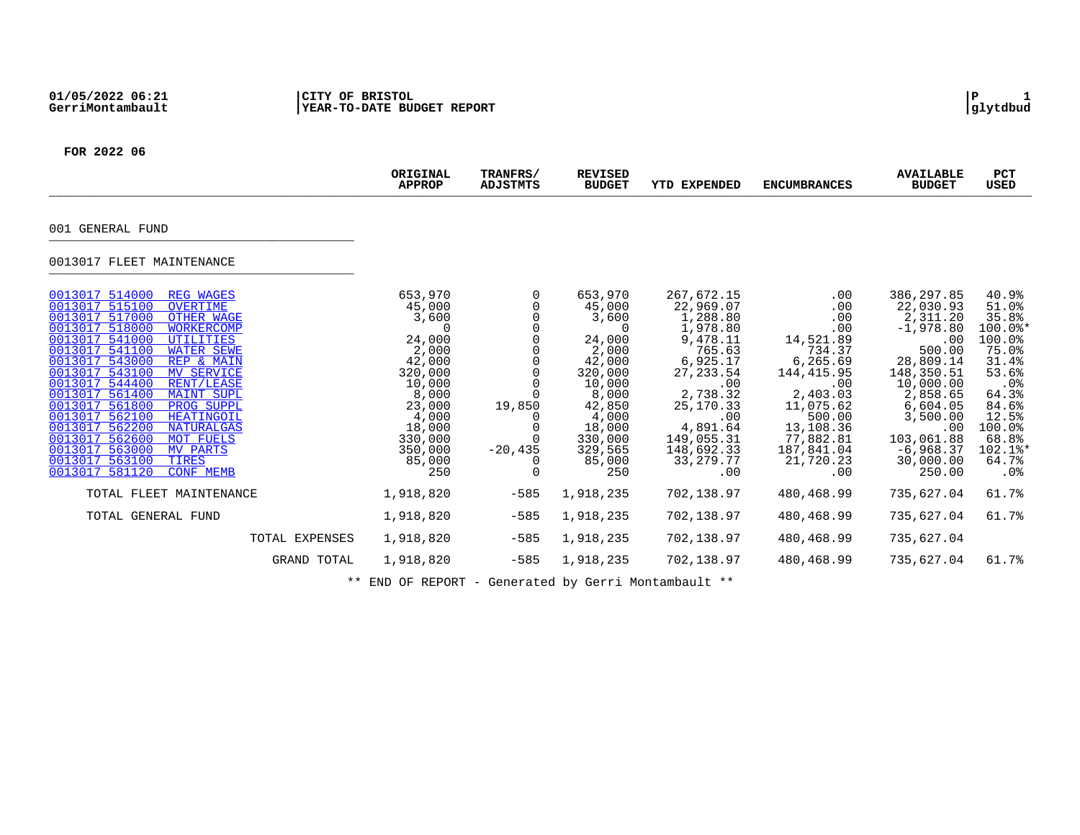|                                                                                                                                                                                                                                                                                                                                                                                                                                                                                                                                                                                                                                            | ORIGINAL<br><b>APPROP</b>                                                                                                                                             | TRANFRS/<br>ADJSTMTS                                           | <b>REVISED</b><br><b>BUDGET</b>                                                                                                                                | <b>YTD EXPENDED</b>                                                                                                                                                                                    | <b>ENCUMBRANCES</b>                                                                                                                                                              | <b>AVAILABLE</b><br><b>BUDGET</b>                                                                                                                                                                          | <b>PCT</b><br>USED                                                                                                                                        |
|--------------------------------------------------------------------------------------------------------------------------------------------------------------------------------------------------------------------------------------------------------------------------------------------------------------------------------------------------------------------------------------------------------------------------------------------------------------------------------------------------------------------------------------------------------------------------------------------------------------------------------------------|-----------------------------------------------------------------------------------------------------------------------------------------------------------------------|----------------------------------------------------------------|----------------------------------------------------------------------------------------------------------------------------------------------------------------|--------------------------------------------------------------------------------------------------------------------------------------------------------------------------------------------------------|----------------------------------------------------------------------------------------------------------------------------------------------------------------------------------|------------------------------------------------------------------------------------------------------------------------------------------------------------------------------------------------------------|-----------------------------------------------------------------------------------------------------------------------------------------------------------|
| 001 GENERAL FUND                                                                                                                                                                                                                                                                                                                                                                                                                                                                                                                                                                                                                           |                                                                                                                                                                       |                                                                |                                                                                                                                                                |                                                                                                                                                                                                        |                                                                                                                                                                                  |                                                                                                                                                                                                            |                                                                                                                                                           |
| 0013017 FLEET MAINTENANCE                                                                                                                                                                                                                                                                                                                                                                                                                                                                                                                                                                                                                  |                                                                                                                                                                       |                                                                |                                                                                                                                                                |                                                                                                                                                                                                        |                                                                                                                                                                                  |                                                                                                                                                                                                            |                                                                                                                                                           |
| 0013017 514000<br><b>REG WAGES</b><br>0013017 515100<br><b>OVERTIME</b><br>0013017 517000<br><b>OTHER WAGE</b><br>0013017 518000<br><b>WORKERCOMP</b><br>0013017 541000<br>UTILITIES<br>0013017 541100<br><b>WATER SEWE</b><br>0013017 543000<br>REP & MAIN<br>0013017 543100<br><b>MV SERVICE</b><br>0013017 544400<br><b>RENT/LEASE</b><br>0013017 561400<br><b>MAINT SUPL</b><br>PROG SUPPL<br>0013017 561800<br>0013017 562100<br>HEATINGOIL<br>0013017 562200<br><b>NATURALGAS</b><br>0013017 562600<br><b>MOT FUELS</b><br>0013017 563000<br><b>MV PARTS</b><br>0013017 563100<br><b>TIRES</b><br>0013017 581120<br><b>CONF MEMB</b> | 653,970<br>45,000<br>3,600<br>$\Omega$<br>24,000<br>2,000<br>42,000<br>320,000<br>10,000<br>8,000<br>23,000<br>4,000<br>18,000<br>330,000<br>350,000<br>85,000<br>250 | 0<br>0<br>0<br>19,850<br>$\cup$<br>$-20, 435$<br>0<br>$\Omega$ | 653,970<br>45,000<br>3,600<br>0<br>24,000<br>2,000<br>42,000<br>320,000<br>10,000<br>8,000<br>42,850<br>4,000<br>18,000<br>330,000<br>329,565<br>85,000<br>250 | 267,672.15<br>22,969.07<br>1,288.80<br>1,978.80<br>9,478.11<br>765.63<br>6,925.17<br>27, 233.54<br>.00<br>2,738.32<br>25, 170. 33<br>.00<br>4,891.64<br>149,055.31<br>148,692.33<br>33, 279. 77<br>.00 | .00<br>.00<br>.00<br>.00<br>14,521.89<br>734.37<br>6,265.69<br>144, 415.95<br>.00<br>2,403.03<br>11,075.62<br>500.00<br>13,108.36<br>77,882.81<br>187,841.04<br>21,720.23<br>.00 | 386,297.85<br>22,030.93<br>2,311.20<br>$-1,978.80$<br>.00<br>500.00<br>28,809.14<br>148,350.51<br>10,000.00<br>2,858.65<br>6,604.05<br>3,500.00<br>.00<br>103,061.88<br>$-6,968.37$<br>30,000.00<br>250.00 | 40.9%<br>51.0%<br>35.8%<br>$100.0$ *<br>100.0%<br>75.0%<br>31.4%<br>53.6%<br>.0%<br>64.3%<br>84.6%<br>12.5%<br>100.0%<br>68.8%<br>102.1%*<br>64.7%<br>.0% |
| TOTAL FLEET MAINTENANCE                                                                                                                                                                                                                                                                                                                                                                                                                                                                                                                                                                                                                    | 1,918,820                                                                                                                                                             | $-585$                                                         | 1,918,235                                                                                                                                                      | 702,138.97                                                                                                                                                                                             | 480,468.99                                                                                                                                                                       | 735,627.04                                                                                                                                                                                                 | 61.7%                                                                                                                                                     |
| TOTAL GENERAL FUND                                                                                                                                                                                                                                                                                                                                                                                                                                                                                                                                                                                                                         | 1,918,820                                                                                                                                                             | $-585$                                                         | 1,918,235                                                                                                                                                      | 702,138.97                                                                                                                                                                                             | 480,468.99                                                                                                                                                                       | 735,627.04                                                                                                                                                                                                 | 61.7%                                                                                                                                                     |
| TOTAL EXPENSES                                                                                                                                                                                                                                                                                                                                                                                                                                                                                                                                                                                                                             | 1,918,820                                                                                                                                                             | $-585$                                                         | 1,918,235                                                                                                                                                      | 702,138.97                                                                                                                                                                                             | 480,468.99                                                                                                                                                                       | 735,627.04                                                                                                                                                                                                 |                                                                                                                                                           |
| GRAND TOTAL                                                                                                                                                                                                                                                                                                                                                                                                                                                                                                                                                                                                                                | 1,918,820                                                                                                                                                             | $-585$                                                         | 1,918,235                                                                                                                                                      | 702,138.97                                                                                                                                                                                             | 480,468.99                                                                                                                                                                       | 735,627.04                                                                                                                                                                                                 | 61.7%                                                                                                                                                     |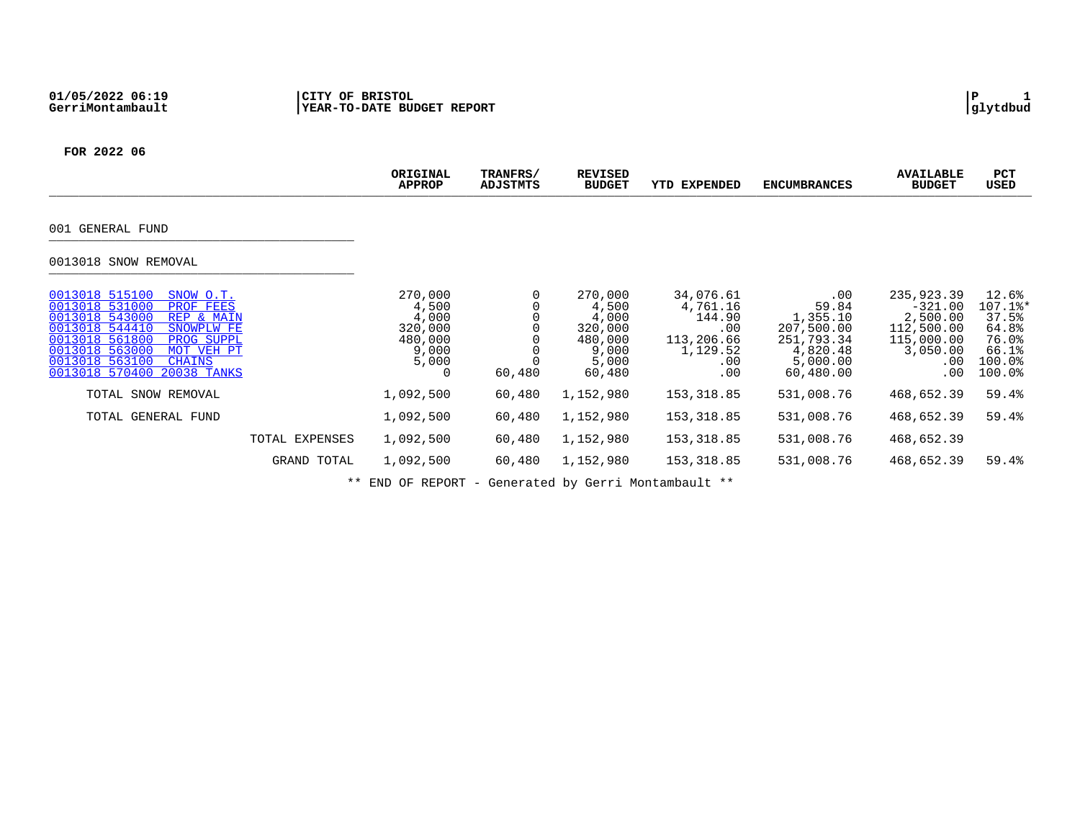|                                                                                                                                                                                                                                                             | ORIGINAL<br><b>APPROP</b>                                              | TRANFRS/<br>ADJSTMTS | <b>REVISED</b><br><b>BUDGET</b>                                             | YTD EXPENDED                                                                   | <b>ENCUMBRANCES</b>                                                                            | <b>AVAILABLE</b><br><b>BUDGET</b>                                                              | PCT<br>USED                                                              |
|-------------------------------------------------------------------------------------------------------------------------------------------------------------------------------------------------------------------------------------------------------------|------------------------------------------------------------------------|----------------------|-----------------------------------------------------------------------------|--------------------------------------------------------------------------------|------------------------------------------------------------------------------------------------|------------------------------------------------------------------------------------------------|--------------------------------------------------------------------------|
| 001 GENERAL FUND                                                                                                                                                                                                                                            |                                                                        |                      |                                                                             |                                                                                |                                                                                                |                                                                                                |                                                                          |
| 0013018 SNOW REMOVAL                                                                                                                                                                                                                                        |                                                                        |                      |                                                                             |                                                                                |                                                                                                |                                                                                                |                                                                          |
| 0013018 515100<br>SNOW O.T.<br>0013018 531000<br>PROF FEES<br>0013018 543000<br>REP & MAIN<br>0013018 544410<br>SNOWPLW FE<br>0013018 561800<br>PROG SUPPL<br>0013018 563000<br>MOT VEH PT<br>0013018 563100<br><b>CHAINS</b><br>0013018 570400 20038 TANKS | 270,000<br>4,500<br>4,000<br>320,000<br>480,000<br>9,000<br>5,000<br>0 | 60,480               | 270,000<br>4,500<br>4,000<br>320,000<br>480,000<br>9,000<br>5,000<br>60,480 | 34,076.61<br>4,761.16<br>144.90<br>.00<br>113,206.66<br>1,129.52<br>.00<br>.00 | $.00 \,$<br>59.84<br>1,355.10<br>207,500.00<br>251,793.34<br>4,820.48<br>5,000.00<br>60,480.00 | 235,923.39<br>$-321.00$<br>2,500.00<br>112,500.00<br>115,000.00<br>3,050.00<br>$.00 \,$<br>.00 | 12.6%<br>107.1%*<br>37.5%<br>64.8%<br>76.0%<br>66.1%<br>100.0%<br>100.0% |
| TOTAL SNOW REMOVAL                                                                                                                                                                                                                                          | 1,092,500                                                              | 60,480               | 1,152,980                                                                   | 153,318.85                                                                     | 531,008.76                                                                                     | 468,652.39                                                                                     | 59.4%                                                                    |
| TOTAL GENERAL FUND                                                                                                                                                                                                                                          | 1,092,500                                                              | 60,480               | 1,152,980                                                                   | 153,318.85                                                                     | 531,008.76                                                                                     | 468,652.39                                                                                     | 59.4%                                                                    |
| TOTAL EXPENSES                                                                                                                                                                                                                                              | 1,092,500                                                              | 60,480               | 1,152,980                                                                   | 153,318.85                                                                     | 531,008.76                                                                                     | 468,652.39                                                                                     |                                                                          |
| GRAND TOTAL                                                                                                                                                                                                                                                 | 1,092,500                                                              | 60,480               | 1,152,980                                                                   | 153,318.85                                                                     | 531,008.76                                                                                     | 468,652.39                                                                                     | 59.4%                                                                    |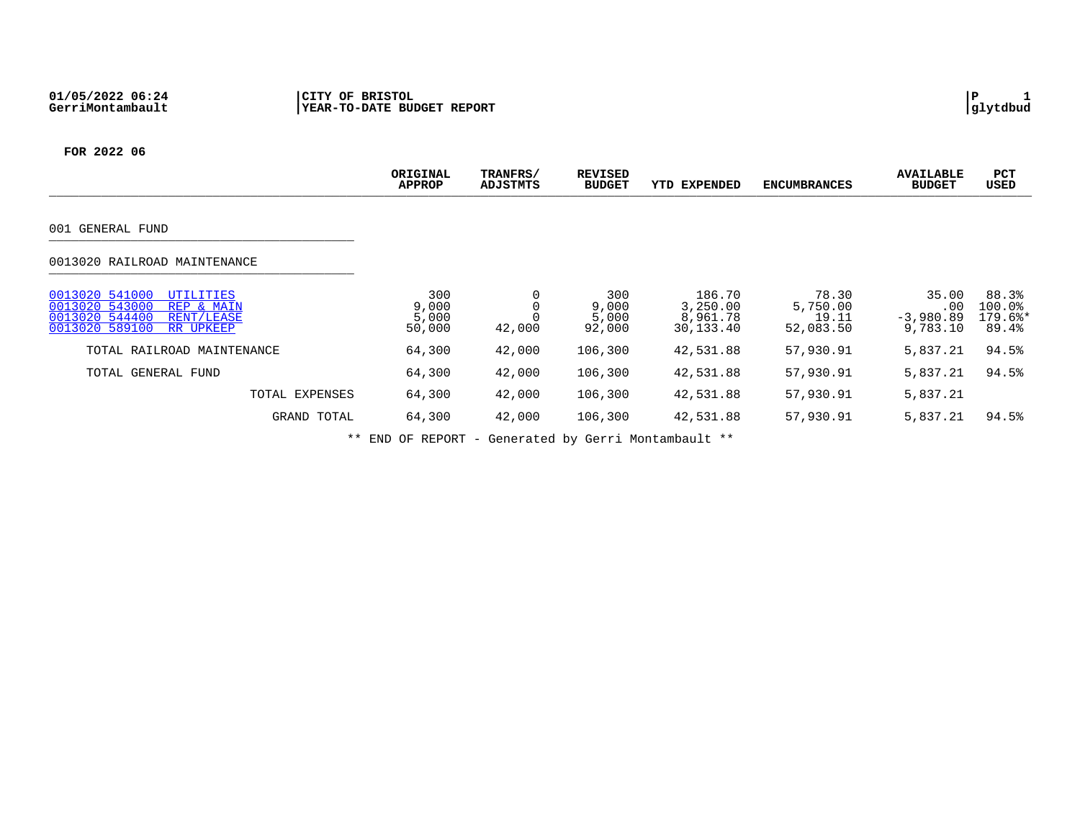|                                                                                                                                   | ORIGINAL<br><b>APPROP</b>       | TRANFRS/<br>ADJSTMTS | <b>REVISED</b><br><b>BUDGET</b> | <b>YTD EXPENDED</b>                         | <b>ENCUMBRANCES</b>                     | <b>AVAILABLE</b><br><b>BUDGET</b>       | PCT<br><b>USED</b>                    |
|-----------------------------------------------------------------------------------------------------------------------------------|---------------------------------|----------------------|---------------------------------|---------------------------------------------|-----------------------------------------|-----------------------------------------|---------------------------------------|
| 001 GENERAL FUND                                                                                                                  |                                 |                      |                                 |                                             |                                         |                                         |                                       |
| 0013020 RAILROAD MAINTENANCE                                                                                                      |                                 |                      |                                 |                                             |                                         |                                         |                                       |
| 0013020 541000<br><b>UTILITIES</b><br>0013020 543000<br>REP & MAIN<br>0013020 544400<br>RENT/LEASE<br>0013020 589100<br>RR UPKEEP | 300<br>9,000<br>5,000<br>50,000 | 42,000               | 300<br>9,000<br>5,000<br>92,000 | 186.70<br>3,250.00<br>8,961.78<br>30,133.40 | 78.30<br>5,750.00<br>19.11<br>52,083.50 | 35.00<br>.00<br>$-3,980.89$<br>9,783.10 | 88.3%<br>100.0%<br>$179.6$ *<br>89.4% |
| TOTAL RAILROAD MAINTENANCE                                                                                                        | 64,300                          | 42,000               | 106,300                         | 42,531.88                                   | 57,930.91                               | 5,837.21                                | 94.5%                                 |
| TOTAL GENERAL FUND                                                                                                                | 64,300                          | 42,000               | 106,300                         | 42,531.88                                   | 57,930.91                               | 5,837.21                                | 94.5%                                 |
| TOTAL EXPENSES                                                                                                                    | 64,300                          | 42,000               | 106,300                         | 42,531.88                                   | 57,930.91                               | 5,837.21                                |                                       |
| GRAND TOTAL                                                                                                                       | 64,300                          | 42,000               | 106,300                         | 42,531.88                                   | 57,930.91                               | 5,837.21                                | 94.5%                                 |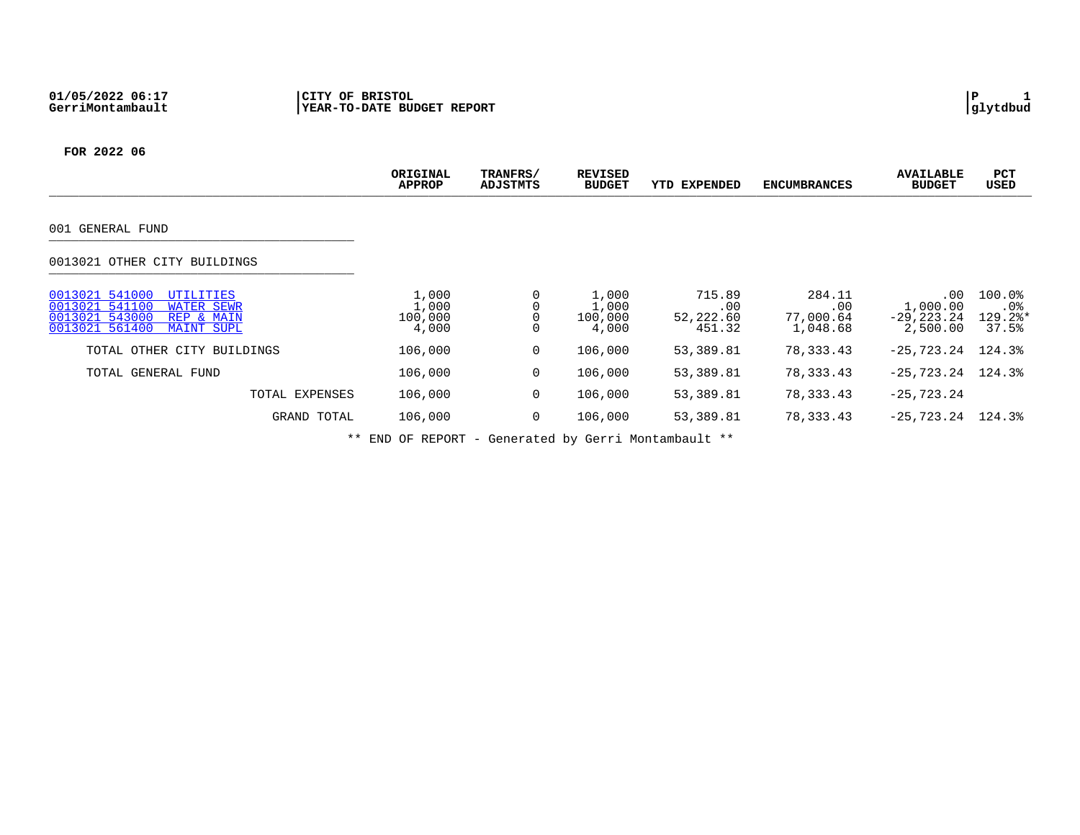|                                                                                                                                           | ORIGINAL<br><b>APPROP</b>          | TRANFRS/<br>ADJSTMTS | <b>REVISED</b><br><b>BUDGET</b>    | YTD EXPENDED                         | <b>ENCUMBRANCES</b>                    | <b>AVAILABLE</b><br><b>BUDGET</b>            | PCT<br><b>USED</b>                                   |
|-------------------------------------------------------------------------------------------------------------------------------------------|------------------------------------|----------------------|------------------------------------|--------------------------------------|----------------------------------------|----------------------------------------------|------------------------------------------------------|
| 001 GENERAL FUND                                                                                                                          |                                    |                      |                                    |                                      |                                        |                                              |                                                      |
| 0013021 OTHER CITY BUILDINGS                                                                                                              |                                    |                      |                                    |                                      |                                        |                                              |                                                      |
| 0013021 541000<br>UTILITIES<br>0013021 541100<br><b>WATER SEWR</b><br>0013021 543000<br>REP & MAIN<br>0013021 561400<br><b>MAINT SUPL</b> | 1,000<br>1,000<br>100,000<br>4,000 |                      | 1,000<br>1,000<br>100,000<br>4,000 | 715.89<br>.00<br>52,222.60<br>451.32 | 284.11<br>.00<br>77,000.64<br>1,048.68 | .00<br>1,000.00<br>$-29, 223.24$<br>2,500.00 | $100.0$ <sup>8</sup><br>$.0\%$<br>$129.2$ *<br>37.5% |
| TOTAL OTHER CITY BUILDINGS                                                                                                                | 106,000                            | 0                    | 106,000                            | 53,389.81                            | 78,333.43                              | $-25.723.24$                                 | 124.3%                                               |
| TOTAL GENERAL FUND                                                                                                                        | 106,000                            | $\mathbf 0$          | 106,000                            | 53,389.81                            | 78,333.43                              | $-25.723.24$ 124.3%                          |                                                      |
| TOTAL EXPENSES                                                                                                                            | 106,000                            | 0                    | 106,000                            | 53,389.81                            | 78,333.43                              | $-25, 723.24$                                |                                                      |
| GRAND TOTAL                                                                                                                               | 106,000                            | $\mathbf 0$          | 106,000                            | 53,389.81                            | 78,333.43                              | $-25.723.24$ 124.3%                          |                                                      |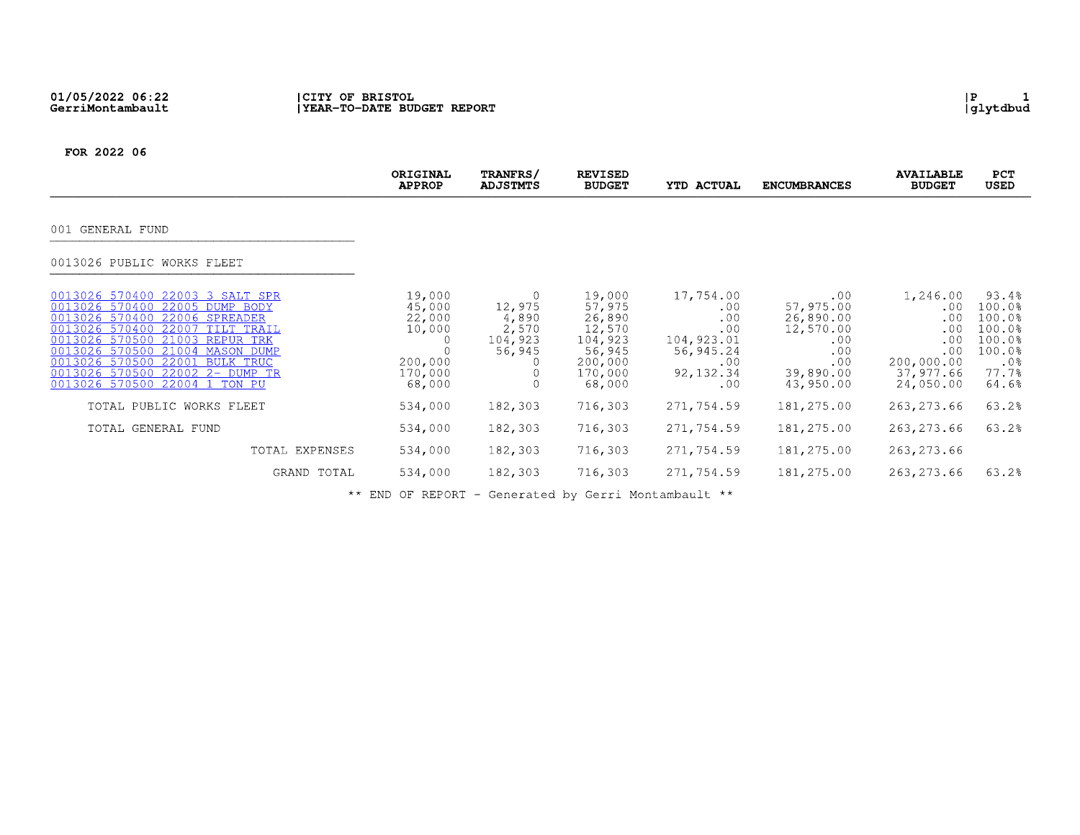# 01/05/2022 06:22<br>GerriMontambault

FOR 2022 06

|                                                                                                                                                                                                                                                                                                                        | ORIGINAL<br><b>APPROP</b>                                            | TRANFRS/<br><b>ADJSTMTS</b>                   | <b>REVISED</b><br><b>BUDGET</b>                                                           | <b>YTD ACTUAL</b>                                                                     | <b>ENCUMBRANCES</b>                                                                       | <b>AVAILABLE</b><br><b>BUDGET</b>                                                   | <b>PCT</b><br><b>USED</b>                                                              |
|------------------------------------------------------------------------------------------------------------------------------------------------------------------------------------------------------------------------------------------------------------------------------------------------------------------------|----------------------------------------------------------------------|-----------------------------------------------|-------------------------------------------------------------------------------------------|---------------------------------------------------------------------------------------|-------------------------------------------------------------------------------------------|-------------------------------------------------------------------------------------|----------------------------------------------------------------------------------------|
| 001 GENERAL FUND                                                                                                                                                                                                                                                                                                       |                                                                      |                                               |                                                                                           |                                                                                       |                                                                                           |                                                                                     |                                                                                        |
| 0013026 PUBLIC WORKS FLEET                                                                                                                                                                                                                                                                                             |                                                                      |                                               |                                                                                           |                                                                                       |                                                                                           |                                                                                     |                                                                                        |
| 0013026 570400 22003 3 SALT SPR<br>0013026 570400 22005 DUMP BODY<br>0013026 570400 22006 SPREADER<br>0013026 570400 22007 TILT TRAIL<br>0013026 570500<br>21003 REPUR TRK<br>0013026 570500 21004 MASON DUMP<br>22001 BULK TRUC<br>0013026 570500<br>0013026 570500 22002 2- DUMP TR<br>0013026 570500 22004 1 TON PU | 19,000<br>45,000<br>22,000<br>10,000<br>200,000<br>170,000<br>68,000 | 12,975<br>4,890<br>2,570<br>104,923<br>56,945 | 19,000<br>57,975<br>26,890<br>12,570<br>104,923<br>56,945<br>200,000<br>170,000<br>68,000 | 17,754.00<br>.00<br>.00<br>.00<br>104,923.01<br>56,945.24<br>.00<br>92, 132.34<br>.00 | .00<br>57,975.00<br>26,890.00<br>12,570.00<br>.00<br>.00<br>.00<br>39,890.00<br>43,950.00 | 1,246.00<br>.00<br>.00<br>.00<br>.00<br>.00<br>200,000.00<br>37,977.66<br>24,050.00 | 93.4%<br>100.0%<br>100.0%<br>$100.0$ %<br>100.0%<br>$100.0$ %<br>.0%<br>77.7%<br>64.6% |
| TOTAL PUBLIC WORKS FLEET                                                                                                                                                                                                                                                                                               | 534,000                                                              | 182,303                                       | 716,303                                                                                   | 271,754.59                                                                            | 181,275.00                                                                                | 263, 273.66                                                                         | 63.2%                                                                                  |
| TOTAL GENERAL FUND                                                                                                                                                                                                                                                                                                     | 534,000                                                              | 182,303                                       | 716,303                                                                                   | 271,754.59                                                                            | 181,275.00                                                                                | 263, 273.66                                                                         | 63.2%                                                                                  |
| TOTAL EXPENSES                                                                                                                                                                                                                                                                                                         | 534,000                                                              | 182,303                                       | 716,303                                                                                   | 271,754.59                                                                            | 181,275.00                                                                                | 263, 273.66                                                                         |                                                                                        |
| GRAND TOTAL                                                                                                                                                                                                                                                                                                            | 534,000                                                              | 182,303                                       | 716,303                                                                                   | 271,754.59                                                                            | 181,275.00                                                                                | 263, 273.66                                                                         | 63.2%                                                                                  |

\*\* END OF REPORT - Generated by Gerri Montambault \*\*

 $\begin{array}{c} | \texttt{P} & 1 \\ | \texttt{glytdbud} \end{array}$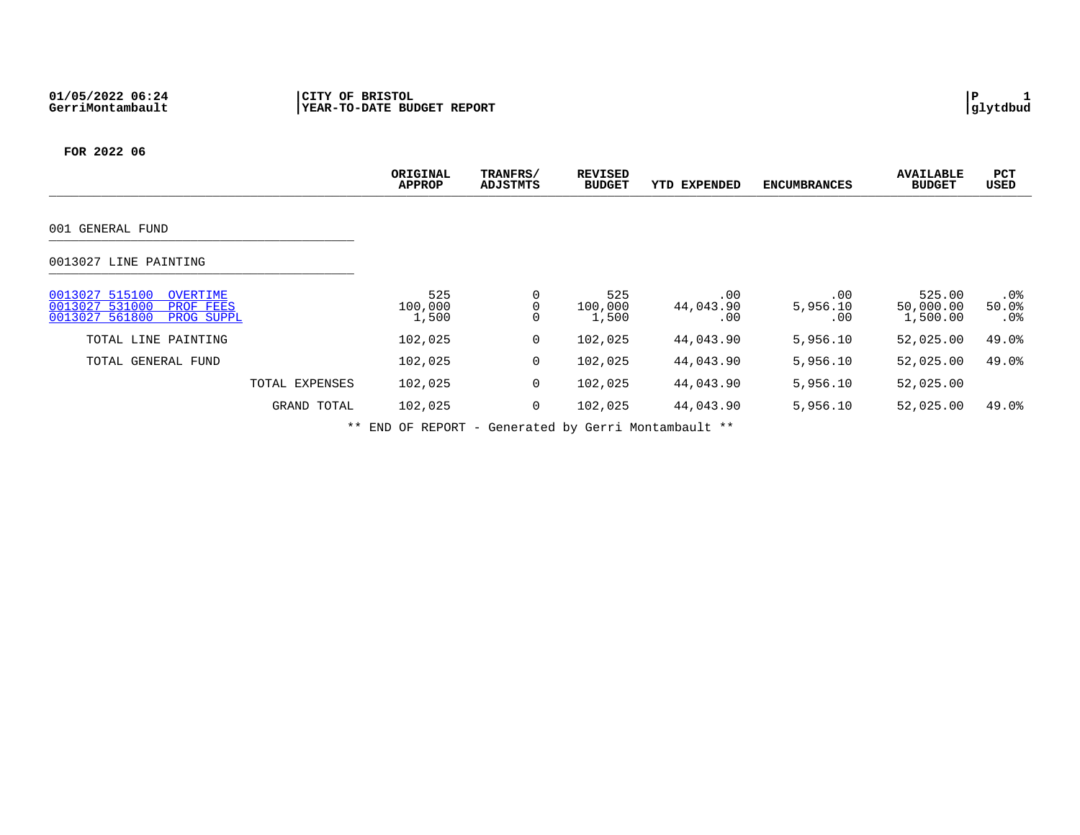|                                                                                           | ORIGINAL<br><b>APPROP</b> | TRANFRS/<br>ADJSTMTS | <b>REVISED</b><br><b>BUDGET</b> | <b>YTD EXPENDED</b>     | <b>ENCUMBRANCES</b>    | <b>AVAILABLE</b><br><b>BUDGET</b> | PCT<br><b>USED</b>        |
|-------------------------------------------------------------------------------------------|---------------------------|----------------------|---------------------------------|-------------------------|------------------------|-----------------------------------|---------------------------|
| 001 GENERAL FUND                                                                          |                           |                      |                                 |                         |                        |                                   |                           |
| 0013027 LINE PAINTING                                                                     |                           |                      |                                 |                         |                        |                                   |                           |
| 0013027 515100<br>OVERTIME<br>0013027 531000<br>PROF FEES<br>0013027 561800<br>PROG SUPPL | 525<br>100,000<br>1,500   | 0<br>0<br>0          | 525<br>100,000<br>1,500         | .00<br>44,043.90<br>.00 | .00<br>5,956.10<br>.00 | 525.00<br>50,000.00<br>1,500.00   | $.0\%$<br>50.0%<br>$.0\%$ |
| TOTAL LINE PAINTING                                                                       | 102,025                   | $\overline{0}$       | 102,025                         | 44,043.90               | 5,956.10               | 52,025.00                         | 49.0%                     |
| TOTAL GENERAL FUND                                                                        | 102,025                   | $\overline{0}$       | 102,025                         | 44,043.90               | 5,956.10               | 52,025.00                         | 49.0%                     |
| TOTAL EXPENSES                                                                            | 102,025                   | 0                    | 102,025                         | 44,043.90               | 5,956.10               | 52,025.00                         |                           |
| GRAND TOTAL                                                                               | 102,025                   | 0                    | 102,025                         | 44,043.90               | 5,956.10               | 52,025.00                         | 49.0%                     |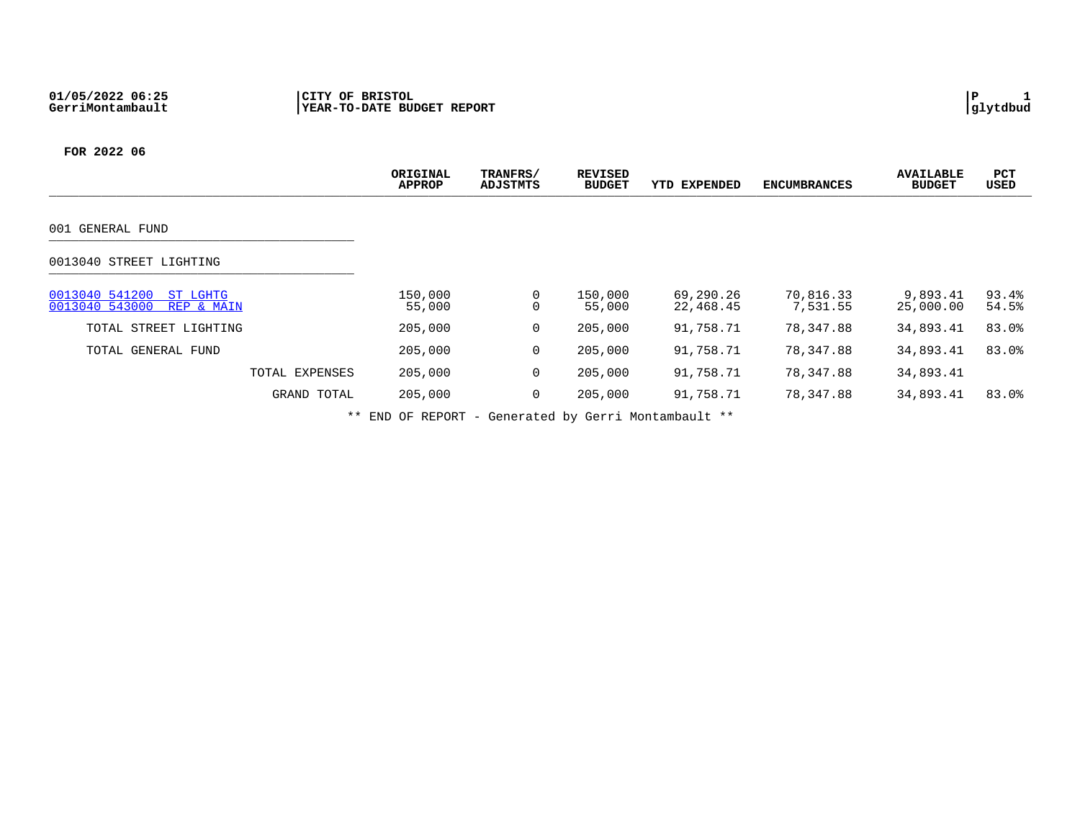|                                                            | ORIGINAL<br><b>APPROP</b> | TRANFRS/<br>ADJSTMTS | <b>REVISED</b><br><b>BUDGET</b> | <b>YTD EXPENDED</b>    | <b>ENCUMBRANCES</b>   | <b>AVAILABLE</b><br><b>BUDGET</b> | PCT<br>USED    |
|------------------------------------------------------------|---------------------------|----------------------|---------------------------------|------------------------|-----------------------|-----------------------------------|----------------|
| GENERAL FUND<br>001                                        |                           |                      |                                 |                        |                       |                                   |                |
| 0013040 STREET LIGHTING                                    |                           |                      |                                 |                        |                       |                                   |                |
| 0013040 541200<br>ST LGHTG<br>0013040 543000<br>REP & MAIN | 150,000<br>55,000         | 0<br>0               | 150,000<br>55,000               | 69,290.26<br>22,468.45 | 70,816.33<br>7,531.55 | 9,893.41<br>25,000.00             | 93.4%<br>54.5% |
| TOTAL STREET LIGHTING                                      | 205,000                   | 0                    | 205,000                         | 91,758.71              | 78,347.88             | 34,893.41                         | 83.0%          |
| TOTAL GENERAL FUND                                         | 205,000                   | 0                    | 205,000                         | 91,758.71              | 78,347.88             | 34,893.41                         | 83.0%          |
| TOTAL EXPENSES                                             | 205,000                   | 0                    | 205,000                         | 91,758.71              | 78,347.88             | 34,893.41                         |                |
| GRAND TOTAL                                                | 205,000                   | 0                    | 205,000                         | 91,758.71              | 78,347.88             | 34,893.41                         | 83.0%          |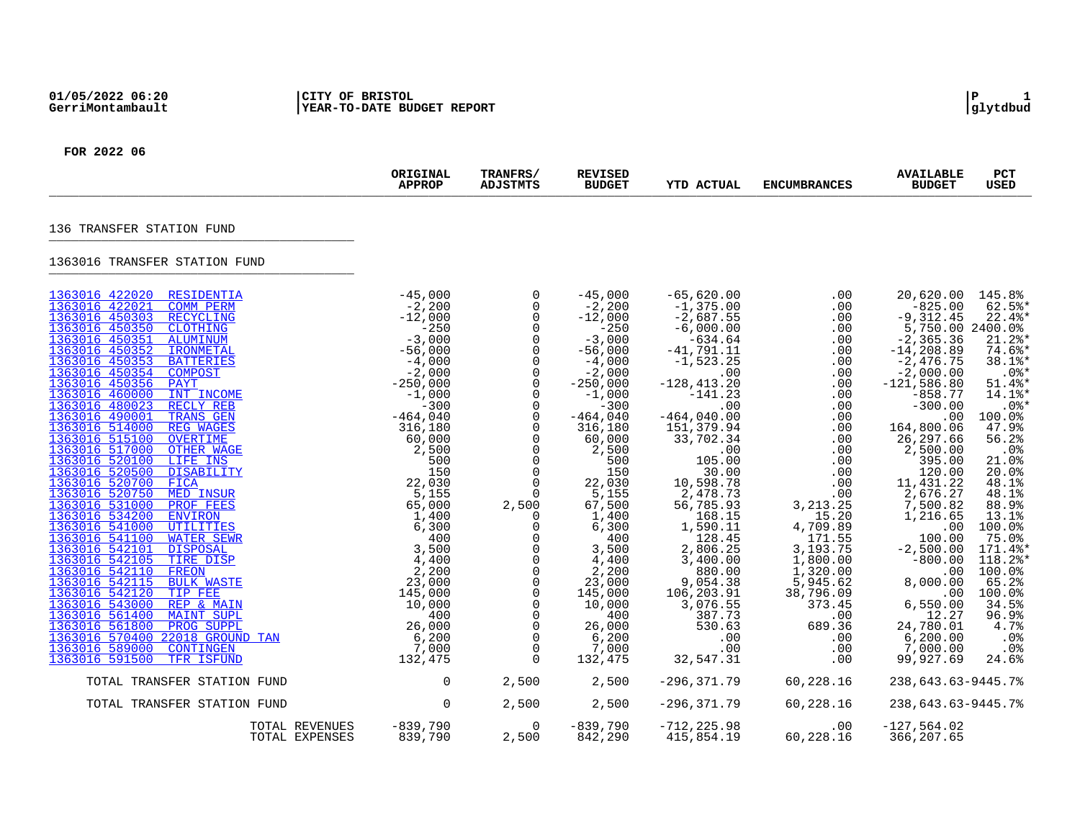|                                                                                                                                                                                                                                                                                                                                                                                                                                                                                                                                                                                                                                                                                                                                                                                                                                                                                                                                                                                                                                                                                   | ORIGINAL<br><b>APPROP</b>                                                                                                                                                                                                                                                                                                      | TRANFRS/<br><b>ADJSTMTS</b>                                                                                                                                                                                                                                                                                                                                                                                                                                                                                                                                       | <b>REVISED</b><br><b>BUDGET</b>                                                                                                                                                                                                                                                                                                                                          | <b>YTD ACTUAL</b>                                                                                                                                                                                                                                                                                                                                                                                                           | <b>ENCUMBRANCES</b>                                                                                                                                                                                                                                                                                   | <b>AVAILABLE</b><br><b>BUDGET</b>                                                                                                                                                                                                                                                                                                                                                                                                         | PCT<br><b>USED</b>                                                                                                                                                                                                                                                                                                            |
|-----------------------------------------------------------------------------------------------------------------------------------------------------------------------------------------------------------------------------------------------------------------------------------------------------------------------------------------------------------------------------------------------------------------------------------------------------------------------------------------------------------------------------------------------------------------------------------------------------------------------------------------------------------------------------------------------------------------------------------------------------------------------------------------------------------------------------------------------------------------------------------------------------------------------------------------------------------------------------------------------------------------------------------------------------------------------------------|--------------------------------------------------------------------------------------------------------------------------------------------------------------------------------------------------------------------------------------------------------------------------------------------------------------------------------|-------------------------------------------------------------------------------------------------------------------------------------------------------------------------------------------------------------------------------------------------------------------------------------------------------------------------------------------------------------------------------------------------------------------------------------------------------------------------------------------------------------------------------------------------------------------|--------------------------------------------------------------------------------------------------------------------------------------------------------------------------------------------------------------------------------------------------------------------------------------------------------------------------------------------------------------------------|-----------------------------------------------------------------------------------------------------------------------------------------------------------------------------------------------------------------------------------------------------------------------------------------------------------------------------------------------------------------------------------------------------------------------------|-------------------------------------------------------------------------------------------------------------------------------------------------------------------------------------------------------------------------------------------------------------------------------------------------------|-------------------------------------------------------------------------------------------------------------------------------------------------------------------------------------------------------------------------------------------------------------------------------------------------------------------------------------------------------------------------------------------------------------------------------------------|-------------------------------------------------------------------------------------------------------------------------------------------------------------------------------------------------------------------------------------------------------------------------------------------------------------------------------|
| 136 TRANSFER STATION FUND                                                                                                                                                                                                                                                                                                                                                                                                                                                                                                                                                                                                                                                                                                                                                                                                                                                                                                                                                                                                                                                         |                                                                                                                                                                                                                                                                                                                                |                                                                                                                                                                                                                                                                                                                                                                                                                                                                                                                                                                   |                                                                                                                                                                                                                                                                                                                                                                          |                                                                                                                                                                                                                                                                                                                                                                                                                             |                                                                                                                                                                                                                                                                                                       |                                                                                                                                                                                                                                                                                                                                                                                                                                           |                                                                                                                                                                                                                                                                                                                               |
| 1363016 TRANSFER STATION FUND                                                                                                                                                                                                                                                                                                                                                                                                                                                                                                                                                                                                                                                                                                                                                                                                                                                                                                                                                                                                                                                     |                                                                                                                                                                                                                                                                                                                                |                                                                                                                                                                                                                                                                                                                                                                                                                                                                                                                                                                   |                                                                                                                                                                                                                                                                                                                                                                          |                                                                                                                                                                                                                                                                                                                                                                                                                             |                                                                                                                                                                                                                                                                                                       |                                                                                                                                                                                                                                                                                                                                                                                                                                           |                                                                                                                                                                                                                                                                                                                               |
| 1363016 422020 RESIDENTIA<br>1363016 422021<br><b>COMM PERM</b><br>1363016 450303 RECYCLING<br>1363016 450350 CLOTHING<br>1363016 450351<br><b>ALUMINUM</b><br>1363016 450352<br><b>IRONMETAL</b><br>1363016 450353<br><b>BATTERIES</b><br>1363016 450354 COMPOST<br>1363016 450356<br>PAYT<br>1363016 460000 INT INCOME<br>1363016 480023 RECLY REB<br>1363016 490001<br><b>TRANS GEN</b><br>1363016 514000 REG WAGES<br>1363016 515100<br><b>OVERTIME</b><br>1363016 517000<br>OTHER WAGE<br>1363016 520100 LIFE INS<br>1363016 520500 DISABILITY<br>1363016 520700 FICA<br>1363016 520750 MED INSUR<br>1363016 531000 PROF FEES<br>1363016 534200<br><b>ENVIRON</b><br>1363016 541000 UTILITIES<br>1363016 541100 WATER SEWR<br>1363016 542101 DISPOSAL<br>1363016 542105 TIRE DISP<br>1363016 542110<br>FREON<br>1363016 542115 BULK WASTE<br>1363016 542120<br>TIP FEE<br>1363016 543000 REP & MAIN<br>1363016 561400<br><b>MAINT SUPL</b><br>1363016 561800<br>PROG SUPPL<br>1363016 570400 22018 GROUND TAN<br>1363016 589000<br>CONTINGEN<br>1363016 591500<br>TFR ISFUND | $-45,000$<br>$-2,200$<br>$\begin{array}{r} -45\,,\,000\\ -2\,,\,2000\\ -12\,,\,000\\ -3\,,\,000\\ -56\,,\,000\\ -4\,,\,000\\ -56\,,\,000\\ -2\,,\,000\\ -2\,,\,000\\ -2\,,\,000\\ -2\,,\,000\\ -4\,6\,4\,,\,040\\ 3\,16\,,\,180\\ 6\,0\,,\,000\\ 2\,,\,500\\ 1\,,\,400\\ 6\,,\,300\\ 1\,,\,400\\ 6\,,\,300\\ 2\,,\$<br>132,475 | $\overline{0}$<br>$\mathbf 0$<br>$\overline{0}$<br>$\Omega$<br>$\overline{0}$<br>$\mathbf 0$<br>$\mathsf{O}$<br>$\overline{0}$<br>$\mathsf{O}$<br>$\mathbf 0$<br>$\overline{0}$<br>$\overline{0}$<br>$\mathbf 0$<br>$\mathsf{O}$<br>$\Omega$<br>$\overline{0}$<br>$\overline{0}$<br>$\Omega$<br>$\Omega$<br>2,500<br>$\mathbf 0$<br>$\mathbf 0$<br>$\overline{0}$<br>$\overline{0}$<br>$\overline{0}$<br>$\overline{0}$<br>$\overline{0}$<br>$\overline{0}$<br>$\overline{0}$<br>$\overline{0}$<br>$\overline{0}$<br>$\overline{0}$<br>$\overline{0}$<br>$\Omega$ | $-45,000$<br>$-2,200$<br>$-12,000$<br>$-250$<br>$-3,000$<br>$-56,000$<br>$-4,000$<br>$-2,000$<br>$-250,000$<br>$-1,000$<br>$-300$<br>$-464,040$<br>316,180<br>60,000<br>2,500<br>500<br>150<br>22,030<br>5,155<br>67,500<br>1,400<br>6,300<br>400<br>$\frac{3}{4}$ , 500<br>4, 400<br>2,200<br>23,000<br>145,000<br>10,000<br>400<br>26,000<br>6,200<br>7,000<br>132,475 | $-65,620.00$<br>$-1,375.00$<br>$-2,687.55$<br>$-6,000.00$<br>$-634.64$<br>$-41,791.11$<br>$-1,523.25$<br>$\sim 00$<br>$-128, 413.20$<br>$-141.23$<br>.00<br>$-464,040.00$<br>151,379.94<br>33,702.34<br>.00<br>105.00<br>30.00<br>10,598.78<br>2,478.73<br>56,785.93<br>168.15<br>1,590.11<br>128.45<br>2,806.25<br>3,400.00<br>880.00<br>9,054.38<br>106,203.91<br>3,076.55<br>387.73<br>530.63<br>.00<br>.00<br>32,547.31 | .00<br>.00<br>.00<br>.00<br>.00<br>.00<br>.00<br>.00<br>.00<br>.00<br>.00<br>.00<br>.00<br>.00<br>.00<br>.00<br>.00<br>.00<br>.00<br>3, 213. 25<br>15.20<br>4,709.89<br>171.55<br>3, 193. 75<br>1,800.00<br>1,320.00<br>5,945.62<br>38,796.09<br>373.45<br>$.00 \ \rm$<br>689.36<br>.00<br>.00<br>.00 | 20,620.00<br>$-825.00$<br>$-9,312.45$ 22.4%<br>5,750.00 2400.0%<br>$-2,365.36$<br>$-14,208.89$<br>$-2,476.75$<br>$-2,000.00$<br>$-121,586.80$<br>$-858.77$<br>$-300.00$<br>.00<br>164,800.06<br>26,297.66<br>2,500.00<br>395.00<br>120.00<br>11,431.22<br>2,676.27<br>7,500.82<br>1,216.65<br>.00<br>100.00<br>$-2,500.00$<br>$-800.00$<br>.00<br>8,000.00<br>.00<br>6,550.00<br>12.27<br>24,780.01<br>6, 200.00<br>7,000.00<br>99,927.69 | 145.8%<br>$62.5$ $*$<br>$22.4$ *<br>$21.2$ *<br>74.6%*<br>38.1%*<br>$.0$ %*<br>$51.4$ %*<br>14.1%*<br>$.08$ *<br>100.0%<br>47.9%<br>56.2%<br>.0%<br>21.0%<br>20.0%<br>48.1%<br>48.1%<br>88.9%<br>13.1%<br>100.0%<br>75.0%<br>171.4%*<br>118.2%*<br>100.0%<br>65.2%<br>100.0%<br>34.5%<br>96.9%<br>4.7%<br>.0%<br>.0%<br>24.6% |
| TOTAL TRANSFER STATION FUND                                                                                                                                                                                                                                                                                                                                                                                                                                                                                                                                                                                                                                                                                                                                                                                                                                                                                                                                                                                                                                                       | $\overline{0}$                                                                                                                                                                                                                                                                                                                 | 2,500                                                                                                                                                                                                                                                                                                                                                                                                                                                                                                                                                             | 2,500                                                                                                                                                                                                                                                                                                                                                                    | $-296, 371.79$                                                                                                                                                                                                                                                                                                                                                                                                              | 60,228.16                                                                                                                                                                                                                                                                                             | 238,643.63-9445.7%                                                                                                                                                                                                                                                                                                                                                                                                                        |                                                                                                                                                                                                                                                                                                                               |
| TOTAL TRANSFER STATION FUND                                                                                                                                                                                                                                                                                                                                                                                                                                                                                                                                                                                                                                                                                                                                                                                                                                                                                                                                                                                                                                                       | $\overline{0}$                                                                                                                                                                                                                                                                                                                 | 2,500                                                                                                                                                                                                                                                                                                                                                                                                                                                                                                                                                             | 2,500                                                                                                                                                                                                                                                                                                                                                                    | $-296, 371.79$                                                                                                                                                                                                                                                                                                                                                                                                              | 60,228.16                                                                                                                                                                                                                                                                                             | 238,643.63-9445.7%                                                                                                                                                                                                                                                                                                                                                                                                                        |                                                                                                                                                                                                                                                                                                                               |
| TOTAL REVENUES<br>TOTAL EXPENSES                                                                                                                                                                                                                                                                                                                                                                                                                                                                                                                                                                                                                                                                                                                                                                                                                                                                                                                                                                                                                                                  | $-839,790$<br>839,790                                                                                                                                                                                                                                                                                                          | $\Omega$<br>2,500                                                                                                                                                                                                                                                                                                                                                                                                                                                                                                                                                 | $-839,790$<br>842,290                                                                                                                                                                                                                                                                                                                                                    | $-712, 225.98$<br>415,854.19                                                                                                                                                                                                                                                                                                                                                                                                | .00<br>60,228.16                                                                                                                                                                                                                                                                                      | $-127,564.02$<br>366,207.65                                                                                                                                                                                                                                                                                                                                                                                                               |                                                                                                                                                                                                                                                                                                                               |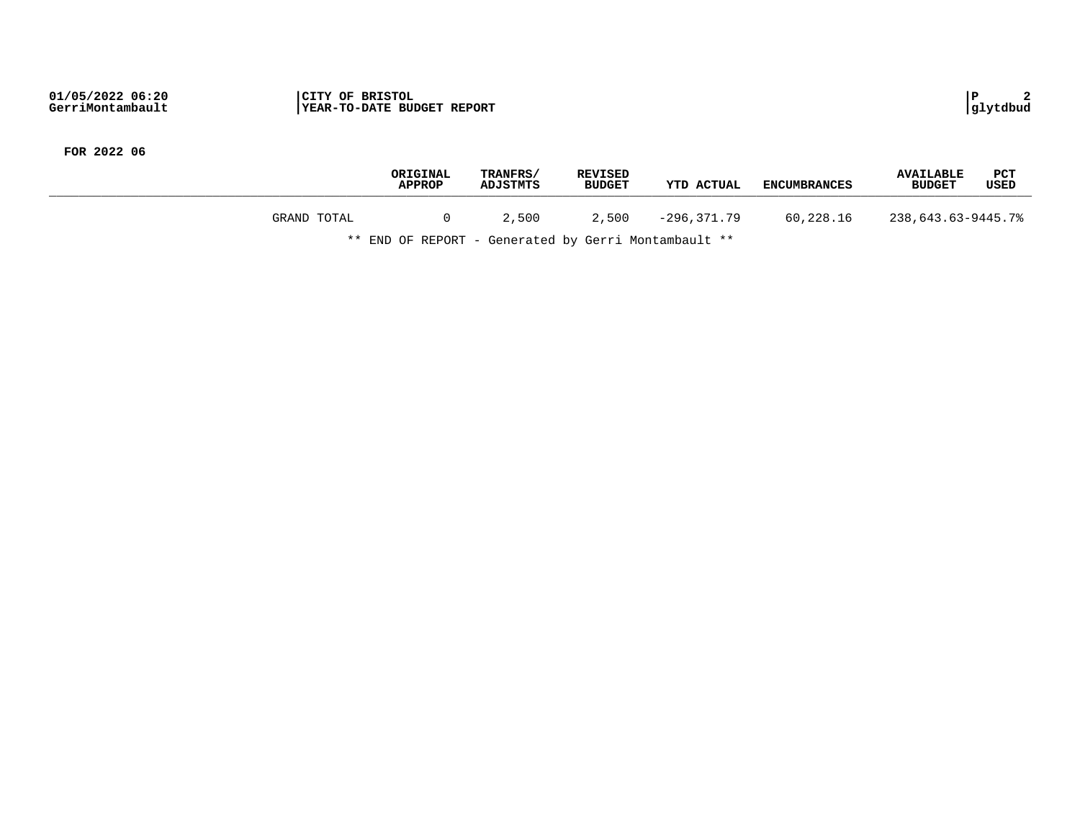|             | ORIGINAL<br><b>APPROP</b> | TRANFRS/<br><b>ADJSTMTS</b> | <b>REVISED</b><br><b>BUDGET</b> | YTD ACTUAL  | <b>ENCUMBRANCES</b> | <b>AVAILABLE</b><br><b>BUDGET</b> | <b>PCT</b><br>USED |
|-------------|---------------------------|-----------------------------|---------------------------------|-------------|---------------------|-----------------------------------|--------------------|
| GRAND TOTAL |                           | 2,500                       | 2,500                           | -296.371.79 | 60,228.16           | 238,643.63-9445.7%                |                    |